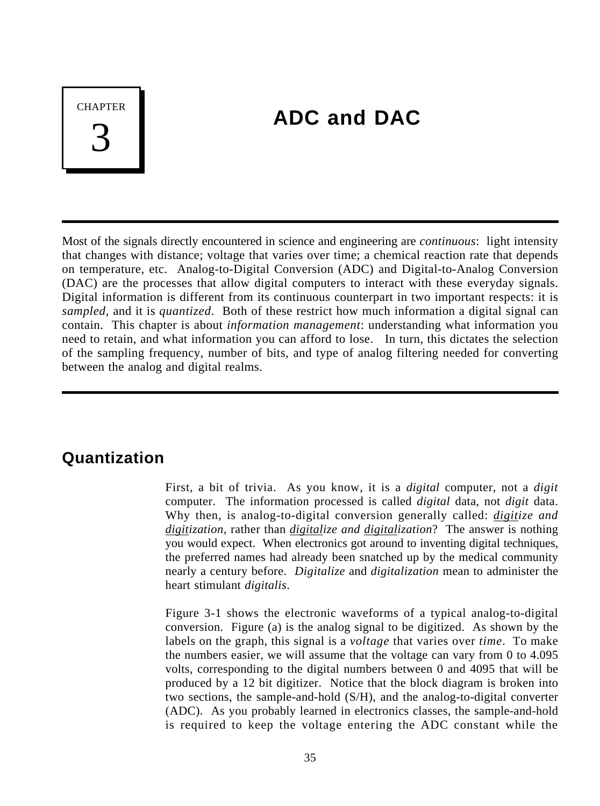# **CHAPTER** 3

# **ADC and DAC**

Most of the signals directly encountered in science and engineering are *continuous*: light intensity that changes with distance; voltage that varies over time; a chemical reaction rate that depends on temperature, etc. Analog-to-Digital Conversion (ADC) and Digital-to-Analog Conversion (DAC) are the processes that allow digital computers to interact with these everyday signals. Digital information is different from its continuous counterpart in two important respects: it is *sampled*, and it is *quantized*. Both of these restrict how much information a digital signal can contain. This chapter is about *information management*: understanding what information you need to retain, and what information you can afford to lose. In turn, this dictates the selection of the sampling frequency, number of bits, and type of analog filtering needed for converting between the analog and digital realms.

# **Quantization**

First, a bit of trivia. As you know, it is a *digital* computer, not a *digit* computer. The information processed is called *digital* data, not *digit* data. Why then, is analog-to-digital conversion generally called: *digitize and digitization,* rather than *digitalize and digitalization*? The answer is nothing you would expect. When electronics got around to inventing digital techniques, the preferred names had already been snatched up by the medical community nearly a century before. *Digitalize* and *digitalization* mean to administer the heart stimulant *digitalis*.

Figure 3-1 shows the electronic waveforms of a typical analog-to-digital conversion. Figure (a) is the analog signal to be digitized. As shown by the labels on the graph, this signal is a *voltage* that varies over *time*. To make the numbers easier, we will assume that the voltage can vary from 0 to 4.095 volts, corresponding to the digital numbers between 0 and 4095 that will be produced by a 12 bit digitizer. Notice that the block diagram is broken into two sections, the sample-and-hold (S/H), and the analog-to-digital converter (ADC). As you probably learned in electronics classes, the sample-and-hold is required to keep the voltage entering the ADC constant while the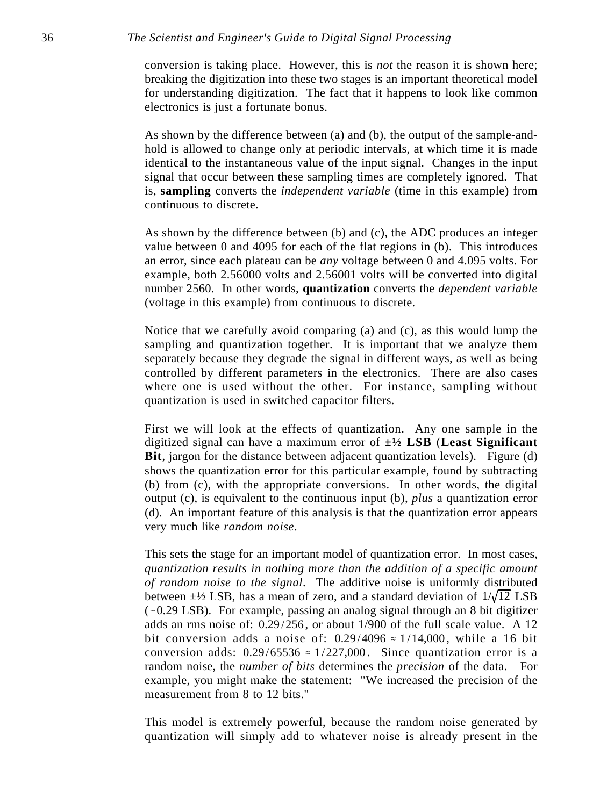#### 36 *The Scientist and Engineer's Guide to Digital Signal Processing*

conversion is taking place. However, this is *not* the reason it is shown here; breaking the digitization into these two stages is an important theoretical model for understanding digitization. The fact that it happens to look like common electronics is just a fortunate bonus.

As shown by the difference between (a) and (b), the output of the sample-andhold is allowed to change only at periodic intervals, at which time it is made identical to the instantaneous value of the input signal. Changes in the input signal that occur between these sampling times are completely ignored. That is, **sampling** converts the *independent variable* (time in this example) from continuous to discrete.

As shown by the difference between (b) and (c), the ADC produces an integer value between 0 and 4095 for each of the flat regions in (b). This introduces an error, since each plateau can be *any* voltage between 0 and 4.095 volts. For example, both 2.56000 volts and 2.56001 volts will be converted into digital number 2560. In other words, **quantization** converts the *dependent variable* (voltage in this example) from continuous to discrete.

Notice that we carefully avoid comparing (a) and (c), as this would lump the sampling and quantization together. It is important that we analyze them separately because they degrade the signal in different ways, as well as being controlled by different parameters in the electronics. There are also cases where one is used without the other. For instance, sampling without quantization is used in switched capacitor filters.

First we will look at the effects of quantization. Any one sample in the digitized signal can have a maximum error of **±½ LSB** (**Least Significant Bit**, jargon for the distance between adjacent quantization levels). Figure (d) shows the quantization error for this particular example, found by subtracting (b) from (c), with the appropriate conversions. In other words, the digital output (c), is equivalent to the continuous input (b), *plus* a quantization error (d). An important feature of this analysis is that the quantization error appears very much like *random noise*.

This sets the stage for an important model of quantization error. In most cases, *quantization results in nothing more than the addition of a specific amount of random noise to the signal*. The additive noise is uniformly distributed between  $\pm$ 1/2 LSB, has a mean of zero, and a standard deviation of  $1/\sqrt{12}$  LSB  $(-0.29$  LSB). For example, passing an analog signal through an 8 bit digitizer adds an rms noise of: 0.29 /256 , or about 1/900 of the full scale value. A 12 bit conversion adds a noise of:  $0.29/4096 \approx 1/14,000$ , while a 16 bit conversion adds:  $0.29/65536 \approx 1/227,000$ . Since quantization error is a random noise, the *number of bits* determines the *precision* of the data. For example, you might make the statement: "We increased the precision of the measurement from 8 to 12 bits."

This model is extremely powerful, because the random noise generated by quantization will simply add to whatever noise is already present in the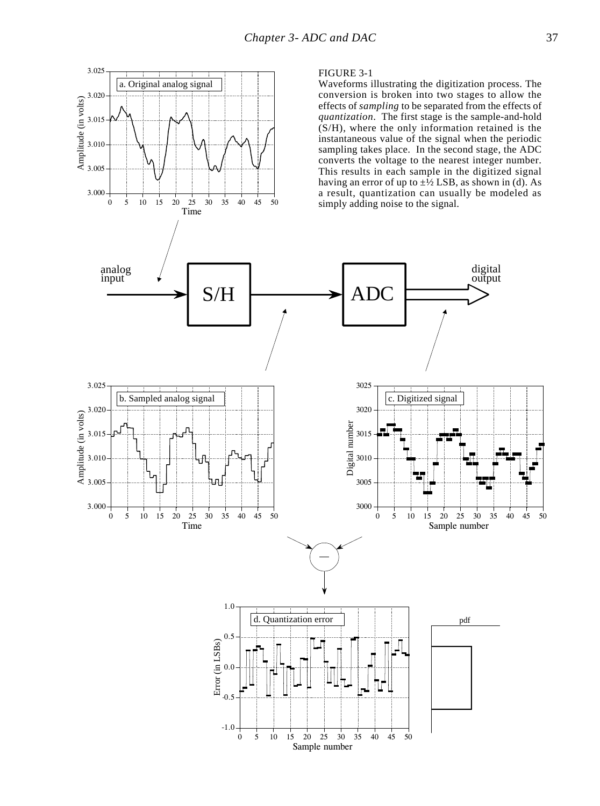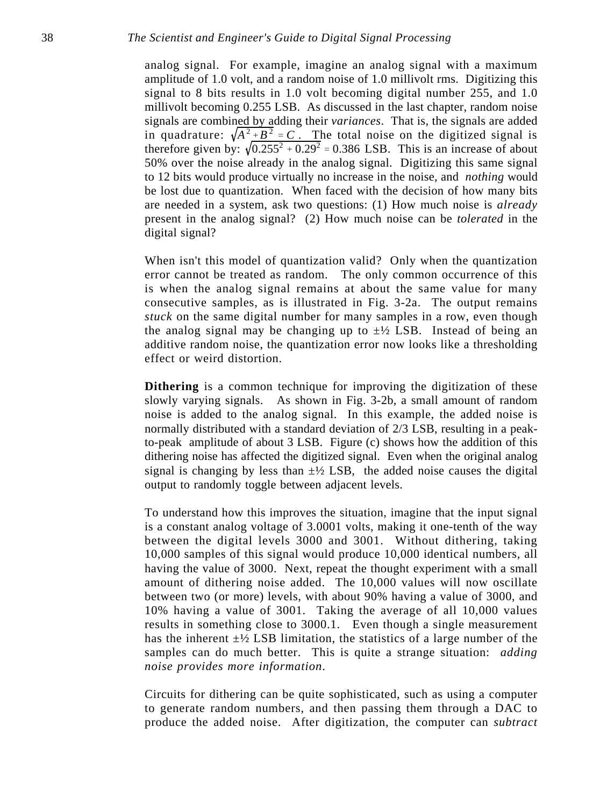analog signal. For example, imagine an analog signal with a maximum amplitude of 1.0 volt, and a random noise of 1.0 millivolt rms. Digitizing this signal to 8 bits results in 1.0 volt becoming digital number 255, and 1.0 millivolt becoming 0.255 LSB. As discussed in the last chapter, random noise signals are combined by adding their *variances*. That is, the signals are added in quadrature:  $\sqrt{A^2 + B^2} = C$ . The total noise on the digitized signal is therefore given by:  $\sqrt{0.255^2 + 0.29^2} = 0.386$  LSB. This is an increase of about 50% over the noise already in the analog signal. Digitizing this same signal to 12 bits would produce virtually no increase in the noise, and *nothing* would be lost due to quantization. When faced with the decision of how many bits are needed in a system, ask two questions: (1) How much noise is *already* present in the analog signal? (2) How much noise can be *tolerated* in the digital signal?

When isn't this model of quantization valid? Only when the quantization error cannot be treated as random. The only common occurrence of this is when the analog signal remains at about the same value for many consecutive samples, as is illustrated in Fig. 3-2a. The output remains *stuck* on the same digital number for many samples in a row, even though the analog signal may be changing up to  $\pm$ <sup>1</sup>/<sub>2</sub> LSB. Instead of being an additive random noise, the quantization error now looks like a thresholding effect or weird distortion.

**Dithering** is a common technique for improving the digitization of these slowly varying signals. As shown in Fig. 3-2b, a small amount of random noise is added to the analog signal. In this example, the added noise is normally distributed with a standard deviation of 2/3 LSB, resulting in a peakto-peak amplitude of about 3 LSB. Figure (c) shows how the addition of this dithering noise has affected the digitized signal. Even when the original analog signal is changing by less than  $\pm \frac{1}{2}$  LSB, the added noise causes the digital output to randomly toggle between adjacent levels.

To understand how this improves the situation, imagine that the input signal is a constant analog voltage of 3.0001 volts, making it one-tenth of the way between the digital levels 3000 and 3001. Without dithering, taking 10,000 samples of this signal would produce 10,000 identical numbers, all having the value of 3000. Next, repeat the thought experiment with a small amount of dithering noise added. The 10,000 values will now oscillate between two (or more) levels, with about 90% having a value of 3000, and 10% having a value of 3001. Taking the average of all 10,000 values results in something close to 3000.1. Even though a single measurement has the inherent  $\pm \frac{1}{2}$  LSB limitation, the statistics of a large number of the samples can do much better. This is quite a strange situation: *adding noise provides more information*.

Circuits for dithering can be quite sophisticated, such as using a computer to generate random numbers, and then passing them through a DAC to produce the added noise. After digitization, the computer can *subtract*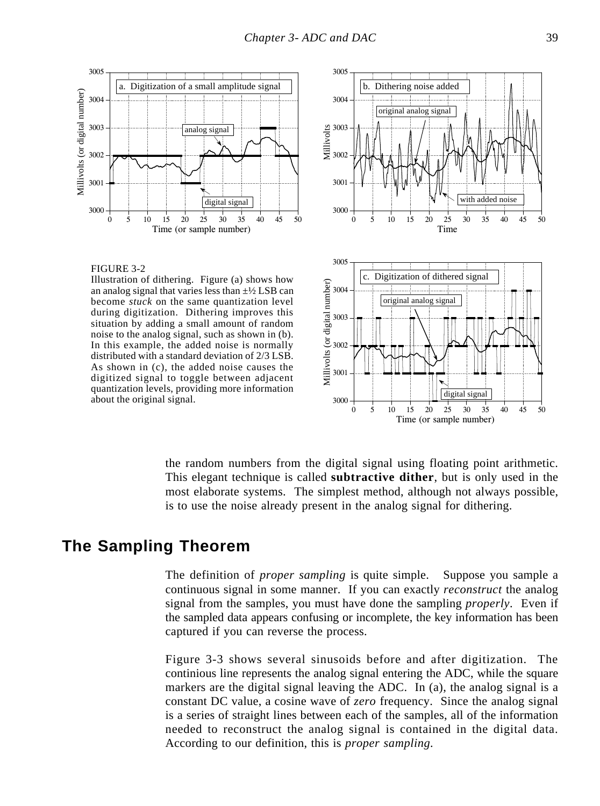

Illustration of dithering. Figure (a) shows how an analog signal that varies less than  $\pm\frac{1}{2}$  LSB can become *stuck* on the same quantization level during digitization. Dithering improves this situation by adding a small amount of random noise to the analog signal, such as shown in (b). In this example, the added noise is normally distributed with a standard deviation of 2/3 LSB. As shown in (c), the added noise causes the digitized signal to toggle between adjacent quantization levels, providing more information



the random numbers from the digital signal using floating point arithmetic. This elegant technique is called **subtractive dither**, but is only used in the most elaborate systems. The simplest method, although not always possible, is to use the noise already present in the analog signal for dithering.

# **The Sampling Theorem**

about the original signal.

FIGURE 3-2

The definition of *proper sampling* is quite simple. Suppose you sample a continuous signal in some manner. If you can exactly *reconstruct* the analog signal from the samples, you must have done the sampling *properly*. Even if the sampled data appears confusing or incomplete, the key information has been captured if you can reverse the process.

Figure 3-3 shows several sinusoids before and after digitization. The continious line represents the analog signal entering the ADC, while the square markers are the digital signal leaving the ADC. In (a), the analog signal is a constant DC value, a cosine wave of *zero* frequency. Since the analog signal is a series of straight lines between each of the samples, all of the information needed to reconstruct the analog signal is contained in the digital data. According to our definition, this is *proper sampling.*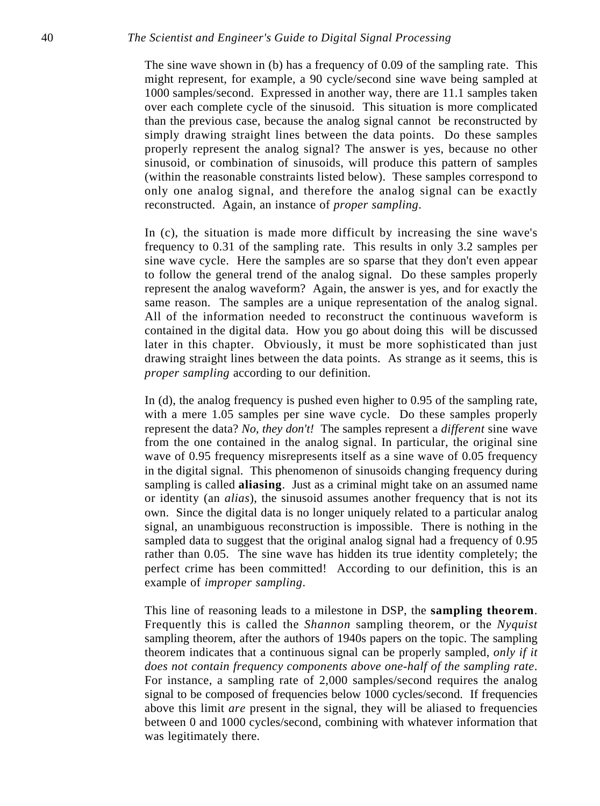The sine wave shown in (b) has a frequency of 0.09 of the sampling rate. This might represent, for example, a 90 cycle/second sine wave being sampled at 1000 samples/second. Expressed in another way, there are 11.1 samples taken over each complete cycle of the sinusoid. This situation is more complicated than the previous case, because the analog signal cannot be reconstructed by simply drawing straight lines between the data points. Do these samples properly represent the analog signal? The answer is yes, because no other sinusoid, or combination of sinusoids, will produce this pattern of samples (within the reasonable constraints listed below). These samples correspond to only one analog signal, and therefore the analog signal can be exactly reconstructed. Again, an instance of *proper sampling*.

In (c), the situation is made more difficult by increasing the sine wave's frequency to 0.31 of the sampling rate. This results in only 3.2 samples per sine wave cycle. Here the samples are so sparse that they don't even appear to follow the general trend of the analog signal. Do these samples properly represent the analog waveform? Again, the answer is yes, and for exactly the same reason. The samples are a unique representation of the analog signal. All of the information needed to reconstruct the continuous waveform is contained in the digital data. How you go about doing this will be discussed later in this chapter. Obviously, it must be more sophisticated than just drawing straight lines between the data points. As strange as it seems, this is *proper sampling* according to our definition.

In (d), the analog frequency is pushed even higher to 0.95 of the sampling rate, with a mere 1.05 samples per sine wave cycle. Do these samples properly represent the data? *No, they don't!* The samples represent a *different* sine wave from the one contained in the analog signal. In particular, the original sine wave of 0.95 frequency misrepresents itself as a sine wave of 0.05 frequency in the digital signal. This phenomenon of sinusoids changing frequency during sampling is called **aliasing**. Just as a criminal might take on an assumed name or identity (an *alias*), the sinusoid assumes another frequency that is not its own. Since the digital data is no longer uniquely related to a particular analog signal, an unambiguous reconstruction is impossible. There is nothing in the sampled data to suggest that the original analog signal had a frequency of 0.95 rather than 0.05. The sine wave has hidden its true identity completely; the perfect crime has been committed! According to our definition, this is an example of *improper sampling*.

This line of reasoning leads to a milestone in DSP, the **sampling theorem**. Frequently this is called the *Shannon* sampling theorem, or the *Nyquist* sampling theorem, after the authors of 1940s papers on the topic. The sampling theorem indicates that a continuous signal can be properly sampled, *only if it does not contain frequency components above one-half of the sampling rate*. For instance, a sampling rate of 2,000 samples/second requires the analog signal to be composed of frequencies below 1000 cycles/second. If frequencies above this limit *are* present in the signal, they will be aliased to frequencies between 0 and 1000 cycles/second, combining with whatever information that was legitimately there.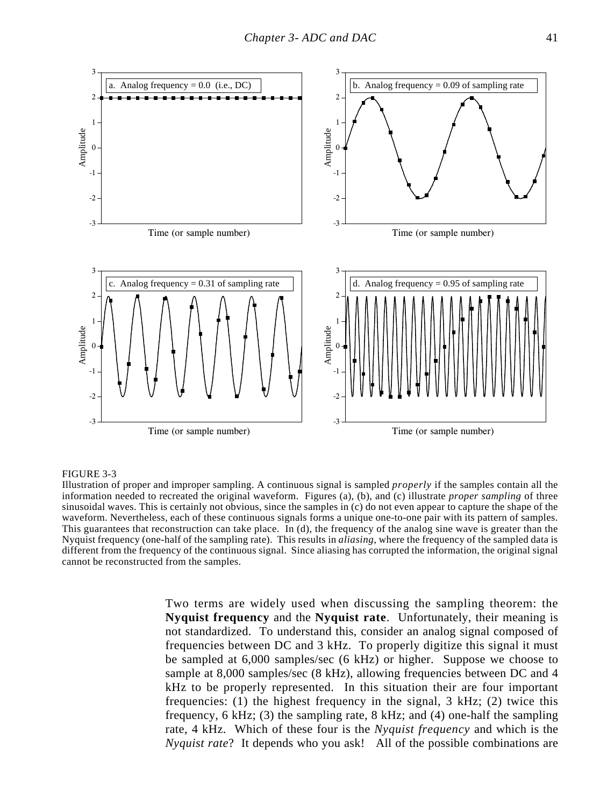

Illustration of proper and improper sampling. A continuous signal is sampled *properly* if the samples contain all the information needed to recreated the original waveform. Figures (a), (b), and (c) illustrate *proper sampling* of three sinusoidal waves. This is certainly not obvious, since the samples in (c) do not even appear to capture the shape of the waveform. Nevertheless, each of these continuous signals forms a unique one-to-one pair with its pattern of samples. This guarantees that reconstruction can take place. In (d), the frequency of the analog sine wave is greater than the Nyquist frequency (one-half of the sampling rate). This results in *aliasing*, where the frequency of the sampled data is different from the frequency of the continuous signal. Since aliasing has corrupted the information, the original signal

Two terms are widely used when discussing the sampling theorem: the **Nyquist frequency** and the **Nyquist rate**. Unfortunately, their meaning is not standardized. To understand this, consider an analog signal composed of frequencies between DC and 3 kHz. To properly digitize this signal it must be sampled at 6,000 samples/sec (6 kHz) or higher. Suppose we choose to sample at 8,000 samples/sec (8 kHz), allowing frequencies between DC and 4 kHz to be properly represented. In this situation their are four important frequencies: (1) the highest frequency in the signal, 3 kHz; (2) twice this frequency, 6 kHz; (3) the sampling rate, 8 kHz; and (4) one-half the sampling rate, 4 kHz. Which of these four is the *Nyquist frequency* and which is the *Nyquist rate*? It depends who you ask! All of the possible combinations are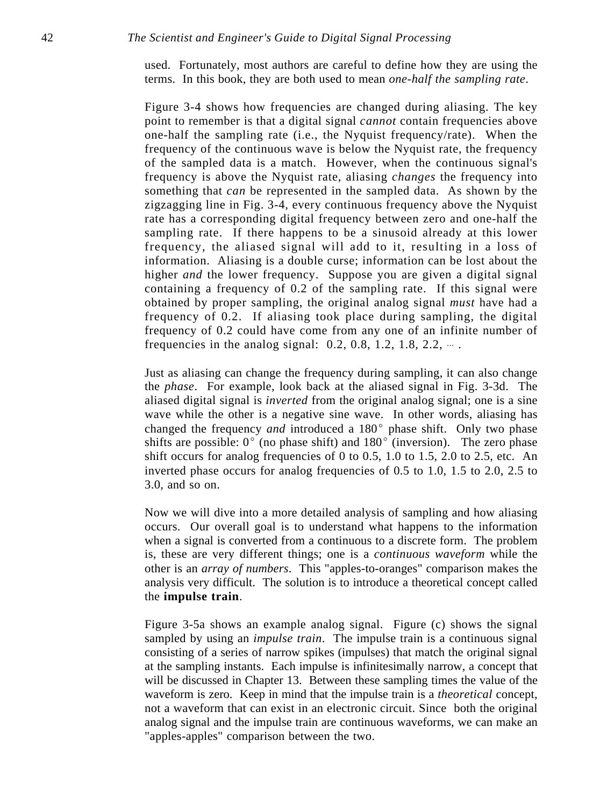used. Fortunately, most authors are careful to define how they are using the terms. In this book, they are both used to mean *one-half the sampling rate*.

Figure 3-4 shows how frequencies are changed during aliasing. The key point to remember is that a digital signal *cannot* contain frequencies above one-half the sampling rate (i.e., the Nyquist frequency/rate). When the frequency of the continuous wave is below the Nyquist rate, the frequency of the sampled data is a match. However, when the continuous signal's frequency is above the Nyquist rate, aliasing *changes* the frequency into something that *can* be represented in the sampled data. As shown by the zigzagging line in Fig. 3-4, every continuous frequency above the Nyquist rate has a corresponding digital frequency between zero and one-half the sampling rate. If there happens to be a sinusoid already at this lower frequency, the aliased signal will add to it, resulting in a loss of information. Aliasing is a double curse; information can be lost about the higher *and* the lower frequency. Suppose you are given a digital signal containing a frequency of 0.2 of the sampling rate. If this signal were obtained by proper sampling, the original analog signal *must* have had a frequency of 0.2. If aliasing took place during sampling, the digital frequency of 0.2 could have come from any one of an infinite number of frequencies in the analog signal:  $0.2, 0.8, 1.2, 1.8, 2.2, ...$ .

Just as aliasing can change the frequency during sampling, it can also change the *phase*. For example, look back at the aliased signal in Fig. 3-3d. The aliased digital signal is *inverted* from the original analog signal; one is a sine wave while the other is a negative sine wave. In other words, aliasing has changed the frequency *and* introduced a  $180^{\circ}$  phase shift. Only two phase shifts are possible:  $0^{\circ}$  (no phase shift) and  $180^{\circ}$  (inversion). The zero phase shift occurs for analog frequencies of 0 to 0.5, 1.0 to 1.5, 2.0 to 2.5, etc. An inverted phase occurs for analog frequencies of 0.5 to 1.0, 1.5 to 2.0, 2.5 to 3.0, and so on.

Now we will dive into a more detailed analysis of sampling and how aliasing occurs. Our overall goal is to understand what happens to the information when a signal is converted from a continuous to a discrete form. The problem is, these are very different things; one is a *continuous waveform* while the other is an *array of numbers*. This "apples-to-oranges" comparison makes the analysis very difficult. The solution is to introduce a theoretical concept called the **impulse train**.

Figure 3-5a shows an example analog signal. Figure (c) shows the signal sampled by using an *impulse train*. The impulse train is a continuous signal consisting of a series of narrow spikes (impulses) that match the original signal at the sampling instants. Each impulse is infinitesimally narrow, a concept that will be discussed in Chapter 13. Between these sampling times the value of the waveform is zero. Keep in mind that the impulse train is a *theoretical* concept, not a waveform that can exist in an electronic circuit. Since both the original analog signal and the impulse train are continuous waveforms, we can make an "apples-apples" comparison between the two.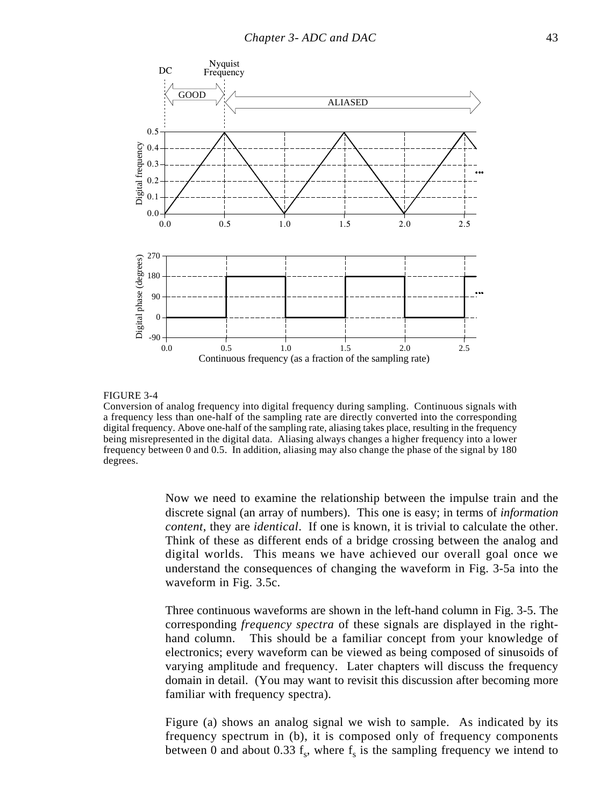

Conversion of analog frequency into digital frequency during sampling. Continuous signals with a frequency less than one-half of the sampling rate are directly converted into the corresponding digital frequency. Above one-half of the sampling rate, aliasing takes place, resulting in the frequency being misrepresented in the digital data. Aliasing always changes a higher frequency into a lower frequency between 0 and 0.5. In addition, aliasing may also change the phase of the signal by 180 degrees.

Now we need to examine the relationship between the impulse train and the discrete signal (an array of numbers). This one is easy; in terms of *information content*, they are *identical*. If one is known, it is trivial to calculate the other. Think of these as different ends of a bridge crossing between the analog and digital worlds. This means we have achieved our overall goal once we understand the consequences of changing the waveform in Fig. 3-5a into the waveform in Fig. 3.5c.

Three continuous waveforms are shown in the left-hand column in Fig. 3-5. The corresponding *frequency spectra* of these signals are displayed in the righthand column. This should be a familiar concept from your knowledge of electronics; every waveform can be viewed as being composed of sinusoids of varying amplitude and frequency. Later chapters will discuss the frequency domain in detail. (You may want to revisit this discussion after becoming more familiar with frequency spectra).

Figure (a) shows an analog signal we wish to sample. As indicated by its frequency spectrum in (b), it is composed only of frequency components between 0 and about 0.33  $f_s$ , where  $f_s$  is the sampling frequency we intend to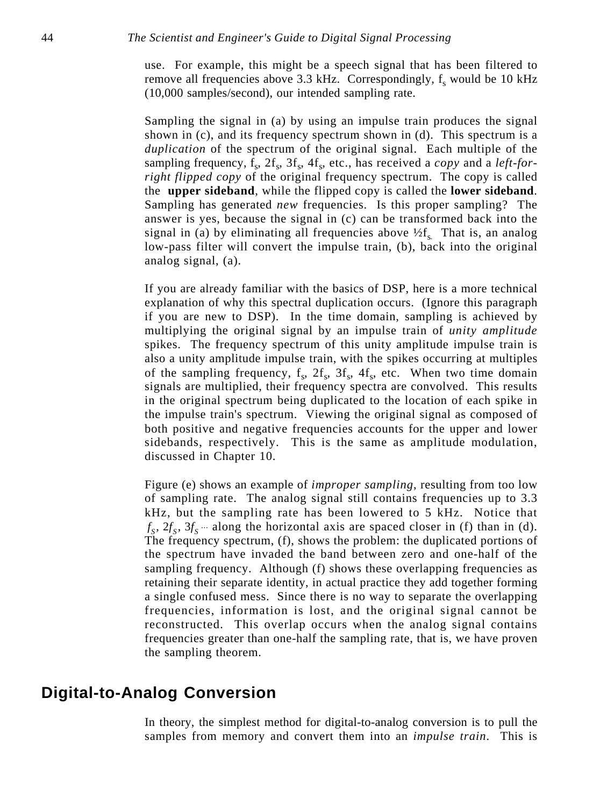use. For example, this might be a speech signal that has been filtered to remove all frequencies above 3.3 kHz. Correspondingly,  $f_s$  would be 10 kHz (10,000 samples/second), our intended sampling rate.

Sampling the signal in (a) by using an impulse train produces the signal shown in (c), and its frequency spectrum shown in (d). This spectrum is a *duplication* of the spectrum of the original signal. Each multiple of the sampling frequency,  $f_s$ ,  $2f_s$ ,  $3f_s$ ,  $4f_s$ , etc., has received a *copy* and a *left-forright flipped copy* of the original frequency spectrum. The copy is called the **upper sideband**, while the flipped copy is called the **lower sideband**. Sampling has generated *new* frequencies. Is this proper sampling? The answer is yes, because the signal in (c) can be transformed back into the signal in (a) by eliminating all frequencies above  $\frac{1}{2}f_s$ . That is, an analog low-pass filter will convert the impulse train, (b), back into the original analog signal, (a).

If you are already familiar with the basics of DSP, here is a more technical explanation of why this spectral duplication occurs. (Ignore this paragraph if you are new to DSP). In the time domain, sampling is achieved by multiplying the original signal by an impulse train of *unity amplitude* spikes. The frequency spectrum of this unity amplitude impulse train is also a unity amplitude impulse train, with the spikes occurring at multiples of the sampling frequency,  $f_s$ ,  $2f_s$ ,  $3f_s$ ,  $4f_s$ , etc. When two time domain signals are multiplied, their frequency spectra are convolved. This results in the original spectrum being duplicated to the location of each spike in the impulse train's spectrum. Viewing the original signal as composed of both positive and negative frequencies accounts for the upper and lower sidebands, respectively. This is the same as amplitude modulation, discussed in Chapter 10.

Figure (e) shows an example of *improper sampling*, resulting from too low of sampling rate. The analog signal still contains frequencies up to 3.3 kHz, but the sampling rate has been lowered to 5 kHz. Notice that  $f_s$ ,  $2f_s$ ,  $3f_s$   $\cdots$  along the horizontal axis are spaced closer in (f) than in (d). The frequency spectrum, (f), shows the problem: the duplicated portions of the spectrum have invaded the band between zero and one-half of the sampling frequency. Although (f) shows these overlapping frequencies as retaining their separate identity, in actual practice they add together forming a single confused mess. Since there is no way to separate the overlapping frequencies, information is lost, and the original signal cannot be reconstructed. This overlap occurs when the analog signal contains frequencies greater than one-half the sampling rate, that is, we have proven the sampling theorem.

# **Digital-to-Analog Conversion**

In theory, the simplest method for digital-to-analog conversion is to pull the samples from memory and convert them into an *impulse train*. This is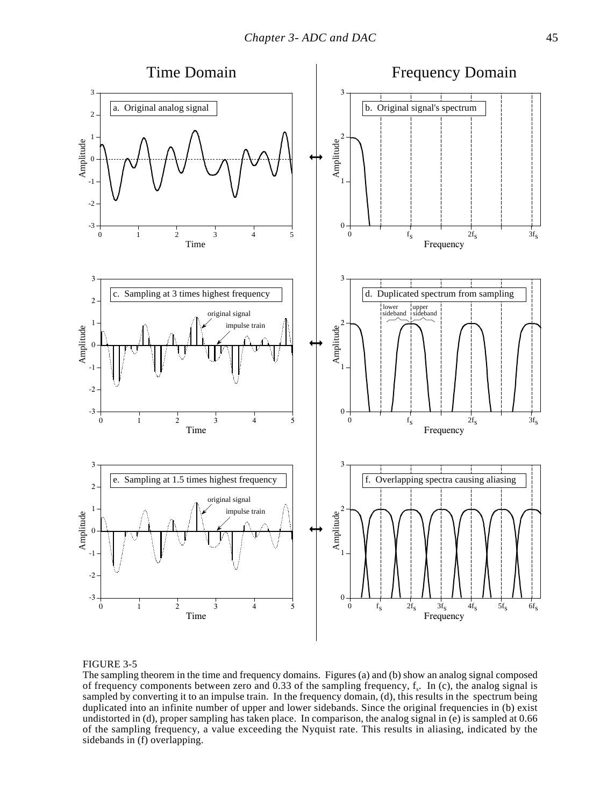

The sampling theorem in the time and frequency domains. Figures (a) and (b) show an analog signal composed of frequency components between zero and 0.33 of the sampling frequency,  $f_s$ . In (c), the analog signal is sampled by converting it to an impulse train. In the frequency domain, (d), this results in the spectrum being duplicated into an infinite number of upper and lower sidebands. Since the original frequencies in (b) exist undistorted in (d), proper sampling has taken place. In comparison, the analog signal in (e) is sampled at 0.66 of the sampling frequency, a value exceeding the Nyquist rate. This results in aliasing, indicated by the sidebands in (f) overlapping.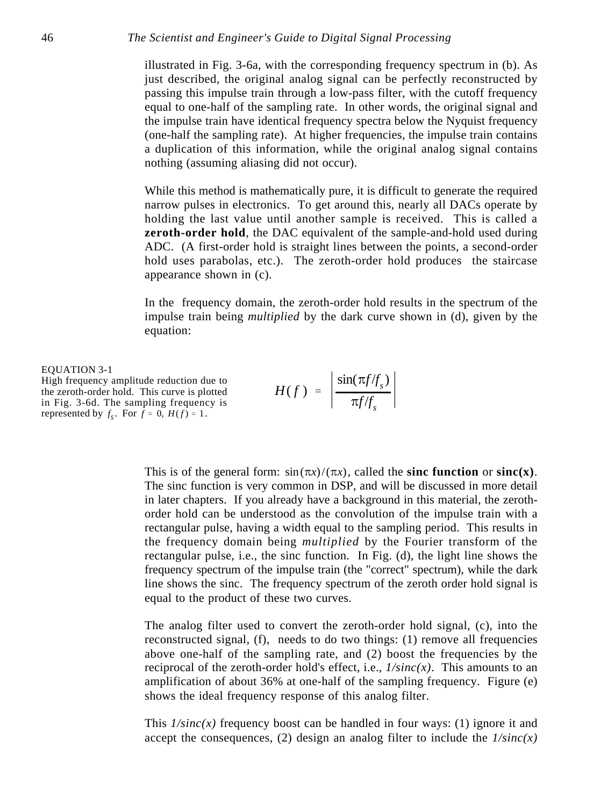illustrated in Fig. 3-6a, with the corresponding frequency spectrum in (b). As just described, the original analog signal can be perfectly reconstructed by passing this impulse train through a low-pass filter, with the cutoff frequency equal to one-half of the sampling rate. In other words, the original signal and the impulse train have identical frequency spectra below the Nyquist frequency (one-half the sampling rate). At higher frequencies, the impulse train contains a duplication of this information, while the original analog signal contains nothing (assuming aliasing did not occur).

While this method is mathematically pure, it is difficult to generate the required narrow pulses in electronics. To get around this, nearly all DACs operate by holding the last value until another sample is received. This is called a **zeroth-order hold**, the DAC equivalent of the sample-and-hold used during ADC. (A first-order hold is straight lines between the points, a second-order hold uses parabolas, etc.). The zeroth-order hold produces the staircase appearance shown in (c).

In the frequency domain, the zeroth-order hold results in the spectrum of the impulse train being *multiplied* by the dark curve shown in (d), given by the equation:

> |<br>|<br>|<br>| |<br>|<br>|

#### EQUATION 3-1 High frequency amplitude reduction due to the zeroth-order hold. This curve is plotted in Fig. 3-6d. The sampling frequency is represented by  $f_s$ . For  $f = 0$ ,  $H(f) = 1$ .  $H(f) =$ |<br>|<br>|<br>| |<br>|<br>|  $\sin(\pi f/f_s)$  $\pi f/f_s$

This is of the general form:  $\sin(\pi x)/(\pi x)$ , called the **sinc function** or  $\sin c(x)$ . The sinc function is very common in DSP, and will be discussed in more detail in later chapters. If you already have a background in this material, the zerothorder hold can be understood as the convolution of the impulse train with a rectangular pulse, having a width equal to the sampling period. This results in the frequency domain being *multiplied* by the Fourier transform of the rectangular pulse, i.e., the sinc function. In Fig. (d), the light line shows the frequency spectrum of the impulse train (the "correct" spectrum), while the dark line shows the sinc. The frequency spectrum of the zeroth order hold signal is equal to the product of these two curves.

The analog filter used to convert the zeroth-order hold signal, (c), into the reconstructed signal, (f), needs to do two things: (1) remove all frequencies above one-half of the sampling rate, and (2) boost the frequencies by the reciprocal of the zeroth-order hold's effect, i.e., *1/sinc(x)*. This amounts to an amplification of about 36% at one-half of the sampling frequency. Figure (e) shows the ideal frequency response of this analog filter.

This  $1/sinc(x)$  frequency boost can be handled in four ways: (1) ignore it and accept the consequences, (2) design an analog filter to include the  $1/sinc(x)$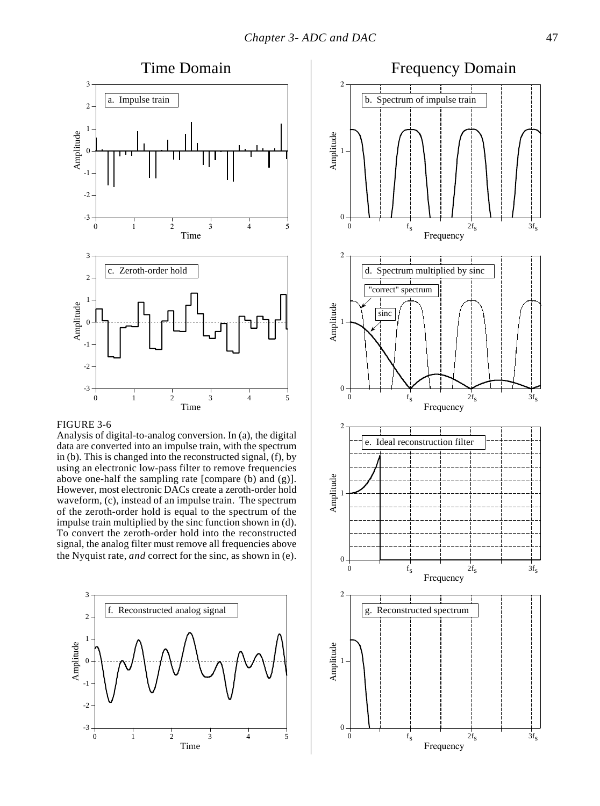

Analysis of digital-to-analog conversion. In (a), the digital data are converted into an impulse train, with the spectrum in (b). This is changed into the reconstructed signal, (f), by using an electronic low-pass filter to remove frequencies above one-half the sampling rate [compare (b) and (g)]. However, most electronic DACs create a zeroth-order hold waveform, (c), instead of an impulse train. The spectrum of the zeroth-order hold is equal to the spectrum of the impulse train multiplied by the sinc function shown in (d). To convert the zeroth-order hold into the reconstructed signal, the analog filter must remove all frequencies above the Nyquist rate, *and* correct for the sinc, as shown in (e).



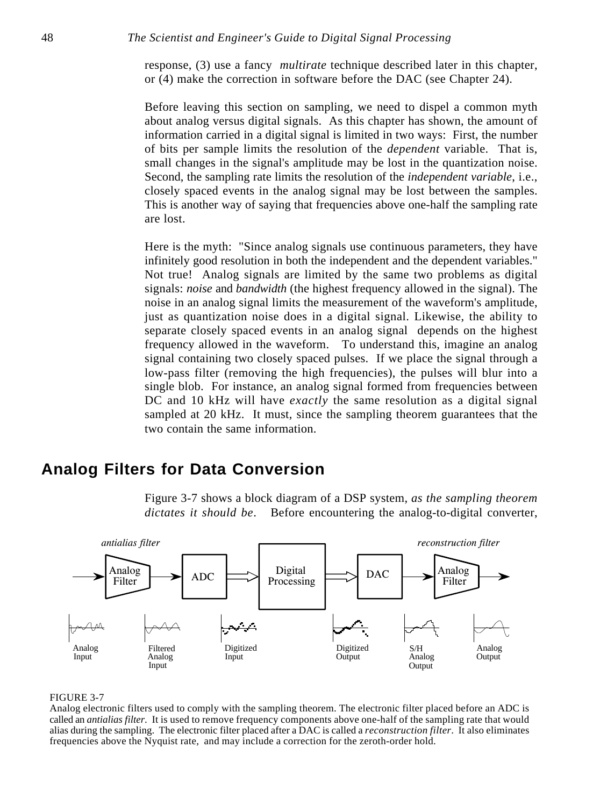response, (3) use a fancy *multirate* technique described later in this chapter, or (4) make the correction in software before the DAC (see Chapter 24).

Before leaving this section on sampling, we need to dispel a common myth about analog versus digital signals. As this chapter has shown, the amount of information carried in a digital signal is limited in two ways: First, the number of bits per sample limits the resolution of the *dependent* variable. That is, small changes in the signal's amplitude may be lost in the quantization noise. Second, the sampling rate limits the resolution of the *independent variable*, i.e., closely spaced events in the analog signal may be lost between the samples. This is another way of saying that frequencies above one-half the sampling rate are lost.

Here is the myth: "Since analog signals use continuous parameters, they have infinitely good resolution in both the independent and the dependent variables." Not true! Analog signals are limited by the same two problems as digital signals: *noise* and *bandwidth* (the highest frequency allowed in the signal). The noise in an analog signal limits the measurement of the waveform's amplitude, just as quantization noise does in a digital signal. Likewise, the ability to separate closely spaced events in an analog signal depends on the highest frequency allowed in the waveform. To understand this, imagine an analog signal containing two closely spaced pulses. If we place the signal through a low-pass filter (removing the high frequencies), the pulses will blur into a single blob. For instance, an analog signal formed from frequencies between DC and 10 kHz will have *exactly* the same resolution as a digital signal sampled at 20 kHz. It must, since the sampling theorem guarantees that the two contain the same information.

# **Analog Filters for Data Conversion**

Figure 3-7 shows a block diagram of a DSP system, *as the sampling theorem dictates it should be*. Before encountering the analog-to-digital converter,



#### FIGURE 3-7

Analog electronic filters used to comply with the sampling theorem. The electronic filter placed before an ADC is called an *antialias filter*. It is used to remove frequency components above one-half of the sampling rate that would alias during the sampling. The electronic filter placed after a DAC is called a *reconstruction filter*. It also eliminates frequencies above the Nyquist rate, and may include a correction for the zeroth-order hold.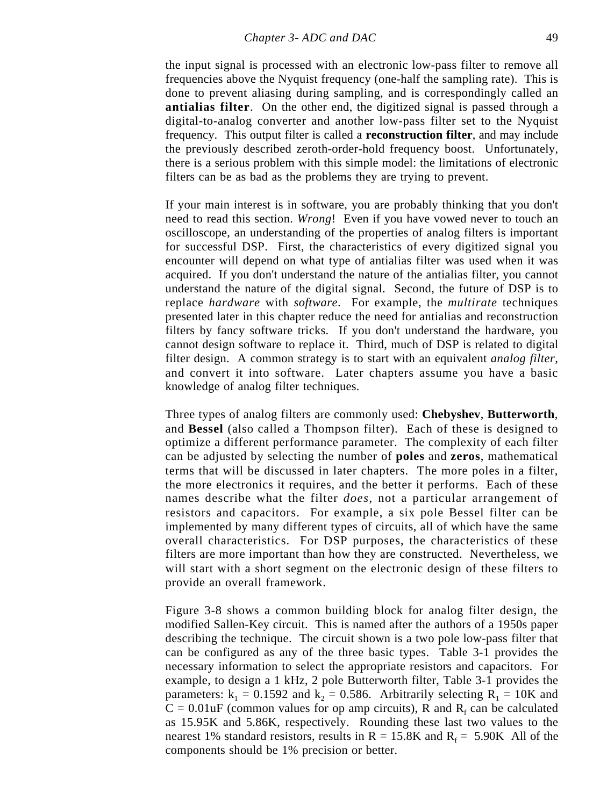the input signal is processed with an electronic low-pass filter to remove all frequencies above the Nyquist frequency (one-half the sampling rate). This is done to prevent aliasing during sampling, and is correspondingly called an **antialias filter**. On the other end, the digitized signal is passed through a digital-to-analog converter and another low-pass filter set to the Nyquist frequency. This output filter is called a **reconstruction filter**, and may include the previously described zeroth-order-hold frequency boost. Unfortunately, there is a serious problem with this simple model: the limitations of electronic filters can be as bad as the problems they are trying to prevent.

If your main interest is in software, you are probably thinking that you don't need to read this section. *Wrong*! Even if you have vowed never to touch an oscilloscope, an understanding of the properties of analog filters is important for successful DSP. First, the characteristics of every digitized signal you encounter will depend on what type of antialias filter was used when it was acquired. If you don't understand the nature of the antialias filter, you cannot understand the nature of the digital signal. Second, the future of DSP is to replace *hardware* with *software*. For example, the *multirate* techniques presented later in this chapter reduce the need for antialias and reconstruction filters by fancy software tricks. If you don't understand the hardware, you cannot design software to replace it. Third, much of DSP is related to digital filter design. A common strategy is to start with an equivalent *analog filter*, and convert it into software. Later chapters assume you have a basic knowledge of analog filter techniques.

Three types of analog filters are commonly used: **Chebyshev**, **Butterworth**, and **Bessel** (also called a Thompson filter). Each of these is designed to optimize a different performance parameter. The complexity of each filter can be adjusted by selecting the number of **poles** and **zeros**, mathematical terms that will be discussed in later chapters. The more poles in a filter, the more electronics it requires, and the better it performs. Each of these names describe what the filter *does*, not a particular arrangement of resistors and capacitors. For example, a six pole Bessel filter can be implemented by many different types of circuits, all of which have the same overall characteristics. For DSP purposes, the characteristics of these filters are more important than how they are constructed. Nevertheless, we will start with a short segment on the electronic design of these filters to provide an overall framework.

Figure 3-8 shows a common building block for analog filter design, the modified Sallen-Key circuit. This is named after the authors of a 1950s paper describing the technique. The circuit shown is a two pole low-pass filter that can be configured as any of the three basic types. Table 3-1 provides the necessary information to select the appropriate resistors and capacitors. For example, to design a 1 kHz, 2 pole Butterworth filter, Table 3-1 provides the parameters:  $k_1 = 0.1592$  and  $k_2 = 0.586$ . Arbitrarily selecting  $R_1 = 10K$  and  $C = 0.01$ uF (common values for op amp circuits), R and R<sub>f</sub> can be calculated as 15.95K and 5.86K, respectively. Rounding these last two values to the nearest 1% standard resistors, results in  $R = 15.8K$  and  $R_f = 5.90K$  All of the components should be 1% precision or better.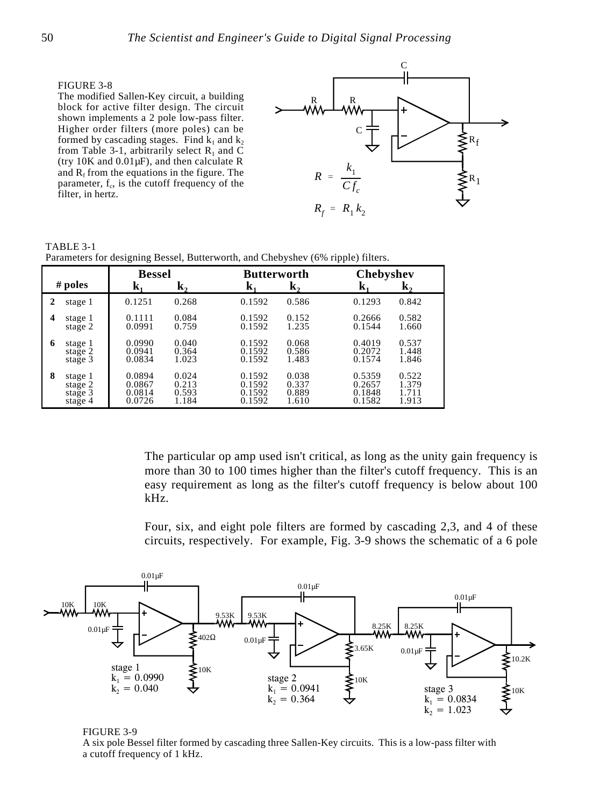The modified Sallen-Key circuit, a building block for active filter design. The circuit shown implements a 2 pole low-pass filter. Higher order filters (more poles) can be formed by cascading stages. Find  $k_1$  and  $k_2$ from Table 3-1, arbitrarily select  $R_1$  and C (try 10K and 0.01µF), and then calculate R and  $R_f$  from the equations in the figure. The parameter, f<sub>c</sub>, is the cutoff frequency of the filter, in hertz.



| TABLE 3-1                                                                        |  |
|----------------------------------------------------------------------------------|--|
| Parameters for designing Bessel, Butterworth, and Chebyshev (6% ripple) filters. |  |

| # poles        |         | <b>Bessel</b><br>k,<br>k, |       | <b>Butterworth</b><br>$\mathbf{k}_1$ | k,    | Chebyshev<br>${\bf k}_1$ | $\mathbf{k}_2$ |
|----------------|---------|---------------------------|-------|--------------------------------------|-------|--------------------------|----------------|
| $\overline{2}$ | stage 1 | 0.1251                    | 0.268 | 0.1592                               | 0.586 | 0.1293                   | 0.842          |
| 4              | stage 1 | 0.1111                    | 0.084 | 0.1592                               | 0.152 | 0.2666                   | 0.582          |
|                | stage 2 | 0.0991                    | 0.759 | 0.1592                               | 1.235 | 0.1544                   | 1.660          |
| 6              | stage 1 | 0.0990                    | 0.040 | 0.1592                               | 0.068 | 0.4019                   | 0.537          |
|                | stage 2 | 0.0941                    | 0.364 | 0.1592                               | 0.586 | 0.2072                   | 1.448          |
|                | stage 3 | 0.0834                    | 1.023 | 0.1592                               | 1.483 | 0.1574                   | 1.846          |
| 8              | stage 1 | 0.0894                    | 0.024 | 0.1592                               | 0.038 | 0.5359                   | 0.522          |
|                | stage 2 | 0.0867                    | 0.213 | 0.1592                               | 0.337 | 0.2657                   | 1.379          |
|                | stage 3 | 0.0814                    | 0.593 | 0.1592                               | 0.889 | 0.1848                   | 1.711          |
|                | stage 4 | 0.0726                    | 1.184 | 0.1592                               | 1.610 | 0.1582                   | 1.913          |

The particular op amp used isn't critical, as long as the unity gain frequency is more than 30 to 100 times higher than the filter's cutoff frequency. This is an easy requirement as long as the filter's cutoff frequency is below about 100 kHz.

Four, six, and eight pole filters are formed by cascading 2,3, and 4 of these circuits, respectively. For example, Fig. 3-9 shows the schematic of a 6 pole



FIGURE 3-9 A six pole Bessel filter formed by cascading three Sallen-Key circuits. This is a low-pass filter with a cutoff frequency of 1 kHz.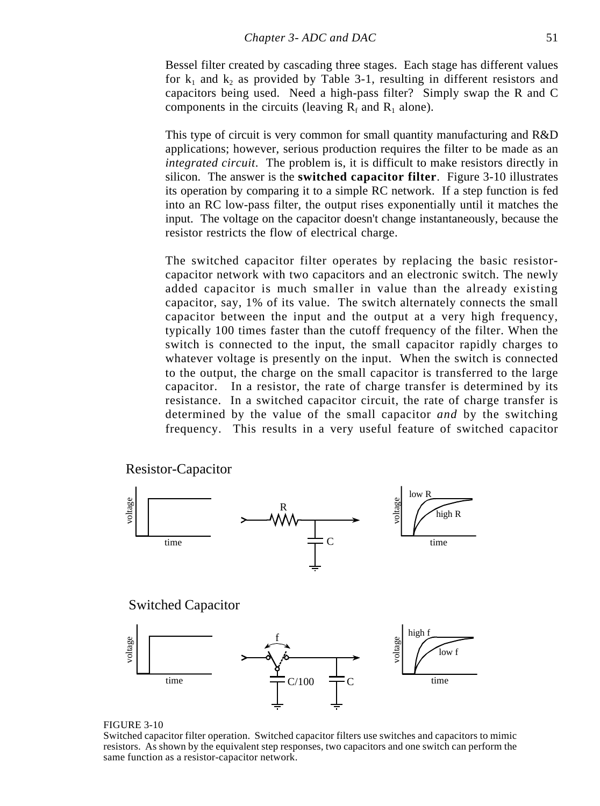Bessel filter created by cascading three stages. Each stage has different values for  $k_1$  and  $k_2$  as provided by Table 3-1, resulting in different resistors and capacitors being used. Need a high-pass filter? Simply swap the R and C components in the circuits (leaving  $R_f$  and  $R_1$  alone).

This type of circuit is very common for small quantity manufacturing and R&D applications; however, serious production requires the filter to be made as an *integrated circuit*. The problem is, it is difficult to make resistors directly in silicon. The answer is the **switched capacitor filter**. Figure 3-10 illustrates its operation by comparing it to a simple RC network. If a step function is fed into an RC low-pass filter, the output rises exponentially until it matches the input. The voltage on the capacitor doesn't change instantaneously, because the resistor restricts the flow of electrical charge.

The switched capacitor filter operates by replacing the basic resistorcapacitor network with two capacitors and an electronic switch. The newly added capacitor is much smaller in value than the already existing capacitor, say, 1% of its value. The switch alternately connects the small capacitor between the input and the output at a very high frequency, typically 100 times faster than the cutoff frequency of the filter. When the switch is connected to the input, the small capacitor rapidly charges to whatever voltage is presently on the input. When the switch is connected to the output, the charge on the small capacitor is transferred to the large capacitor. In a resistor, the rate of charge transfer is determined by its resistance. In a switched capacitor circuit, the rate of charge transfer is determined by the value of the small capacitor *and* by the switching frequency. This results in a very useful feature of switched capacitor

Resistor-Capacitor low R voltage voltage  $\boldsymbol{\nu}$  voltage voltage R high R  $\mathcal{C}$ time  $\overline{\phantom{a}}$  C time Switched Capacitor high f f voltage voltage low f time time  $C/100$ 

#### FIGURE 3-10

Switched capacitor filter operation. Switched capacitor filters use switches and capacitors to mimic resistors. As shown by the equivalent step responses, two capacitors and one switch can perform the same function as a resistor-capacitor network.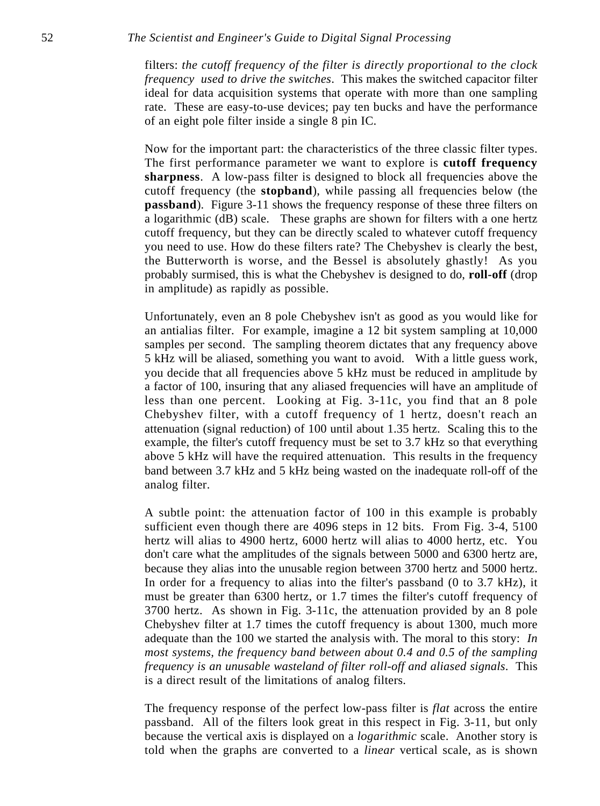filters: *the cutoff frequency of the filter is directly proportional to the clock frequency used to drive the switches*. This makes the switched capacitor filter ideal for data acquisition systems that operate with more than one sampling rate. These are easy-to-use devices; pay ten bucks and have the performance of an eight pole filter inside a single 8 pin IC.

Now for the important part: the characteristics of the three classic filter types. The first performance parameter we want to explore is **cutoff frequency sharpness**. A low-pass filter is designed to block all frequencies above the cutoff frequency (the **stopband**), while passing all frequencies below (the **passband**). Figure 3-11 shows the frequency response of these three filters on a logarithmic (dB) scale. These graphs are shown for filters with a one hertz cutoff frequency, but they can be directly scaled to whatever cutoff frequency you need to use. How do these filters rate? The Chebyshev is clearly the best, the Butterworth is worse, and the Bessel is absolutely ghastly! As you probably surmised, this is what the Chebyshev is designed to do, **roll-off** (drop in amplitude) as rapidly as possible.

Unfortunately, even an 8 pole Chebyshev isn't as good as you would like for an antialias filter. For example, imagine a 12 bit system sampling at 10,000 samples per second. The sampling theorem dictates that any frequency above 5 kHz will be aliased, something you want to avoid. With a little guess work, you decide that all frequencies above 5 kHz must be reduced in amplitude by a factor of 100, insuring that any aliased frequencies will have an amplitude of less than one percent. Looking at Fig. 3-11c, you find that an 8 pole Chebyshev filter, with a cutoff frequency of 1 hertz, doesn't reach an attenuation (signal reduction) of 100 until about 1.35 hertz. Scaling this to the example, the filter's cutoff frequency must be set to 3.7 kHz so that everything above 5 kHz will have the required attenuation. This results in the frequency band between 3.7 kHz and 5 kHz being wasted on the inadequate roll-off of the analog filter.

A subtle point: the attenuation factor of 100 in this example is probably sufficient even though there are 4096 steps in 12 bits. From Fig. 3-4, 5100 hertz will alias to 4900 hertz, 6000 hertz will alias to 4000 hertz, etc. You don't care what the amplitudes of the signals between 5000 and 6300 hertz are, because they alias into the unusable region between 3700 hertz and 5000 hertz. In order for a frequency to alias into the filter's passband (0 to 3.7 kHz), it must be greater than 6300 hertz, or 1.7 times the filter's cutoff frequency of 3700 hertz. As shown in Fig. 3-11c, the attenuation provided by an 8 pole Chebyshev filter at 1.7 times the cutoff frequency is about 1300, much more adequate than the 100 we started the analysis with. The moral to this story: *In most systems, the frequency band between about 0.4 and 0.5 of the sampling frequency is an unusable wasteland of filter roll-off and aliased signals*. This is a direct result of the limitations of analog filters.

The frequency response of the perfect low-pass filter is *flat* across the entire passband. All of the filters look great in this respect in Fig. 3-11, but only because the vertical axis is displayed on a *logarithmic* scale. Another story is told when the graphs are converted to a *linear* vertical scale, as is shown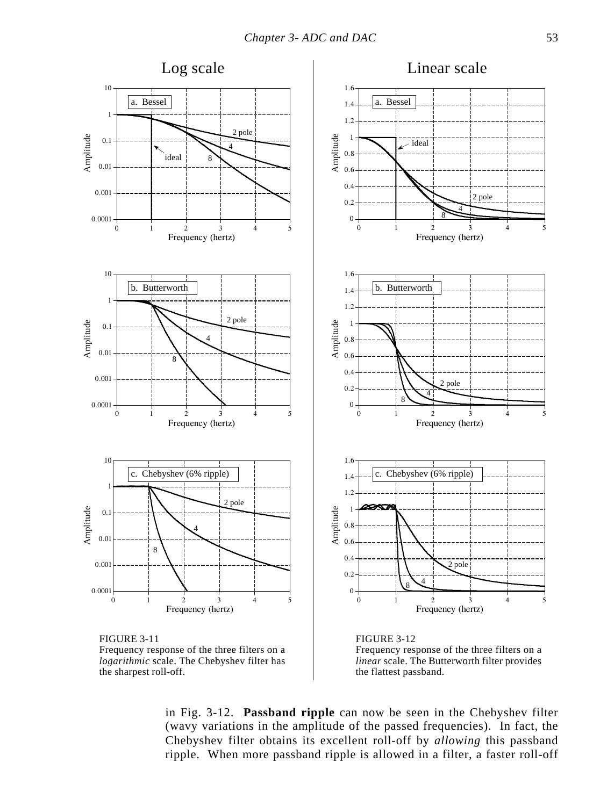

in Fig. 3-12. **Passband ripple** can now be seen in the Chebyshev filter (wavy variations in the amplitude of the passed frequencies). In fact, the Chebyshev filter obtains its excellent roll-off by *allowing* this passband ripple. When more passband ripple is allowed in a filter, a faster roll-off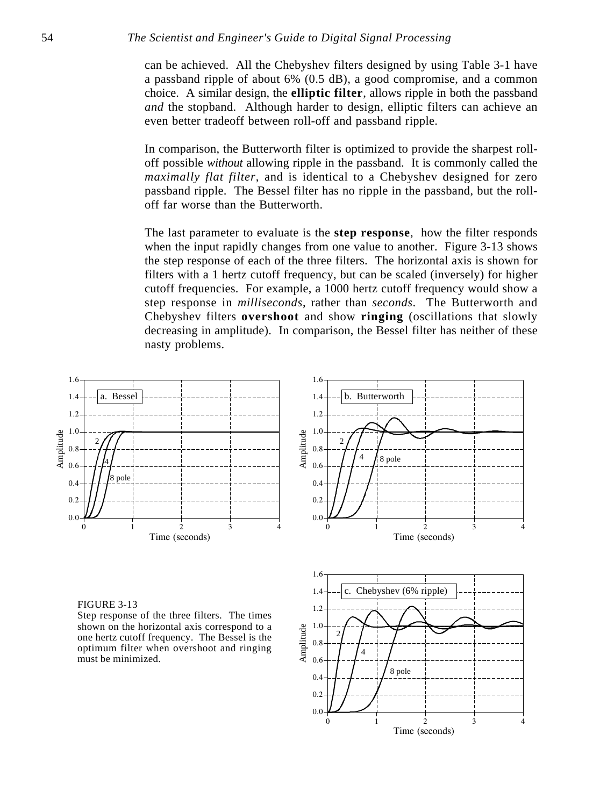can be achieved. All the Chebyshev filters designed by using Table 3-1 have a passband ripple of about 6% (0.5 dB), a good compromise, and a common choice. A similar design, the **elliptic filter**, allows ripple in both the passband *and* the stopband. Although harder to design, elliptic filters can achieve an even better tradeoff between roll-off and passband ripple.

In comparison, the Butterworth filter is optimized to provide the sharpest rolloff possible *without* allowing ripple in the passband. It is commonly called the *maximally flat filter*, and is identical to a Chebyshev designed for zero passband ripple. The Bessel filter has no ripple in the passband, but the rolloff far worse than the Butterworth.

The last parameter to evaluate is the **step response**, how the filter responds when the input rapidly changes from one value to another. Figure 3-13 shows the step response of each of the three filters. The horizontal axis is shown for filters with a 1 hertz cutoff frequency, but can be scaled (inversely) for higher cutoff frequencies. For example, a 1000 hertz cutoff frequency would show a step response in *milliseconds*, rather than *seconds*. The Butterworth and Chebyshev filters **overshoot** and show **ringing** (oscillations that slowly decreasing in amplitude). In comparison, the Bessel filter has neither of these nasty problems.





#### FIGURE 3-13

Step response of the three filters. The times shown on the horizontal axis correspond to a one hertz cutoff frequency. The Bessel is the optimum filter when overshoot and ringing must be minimized.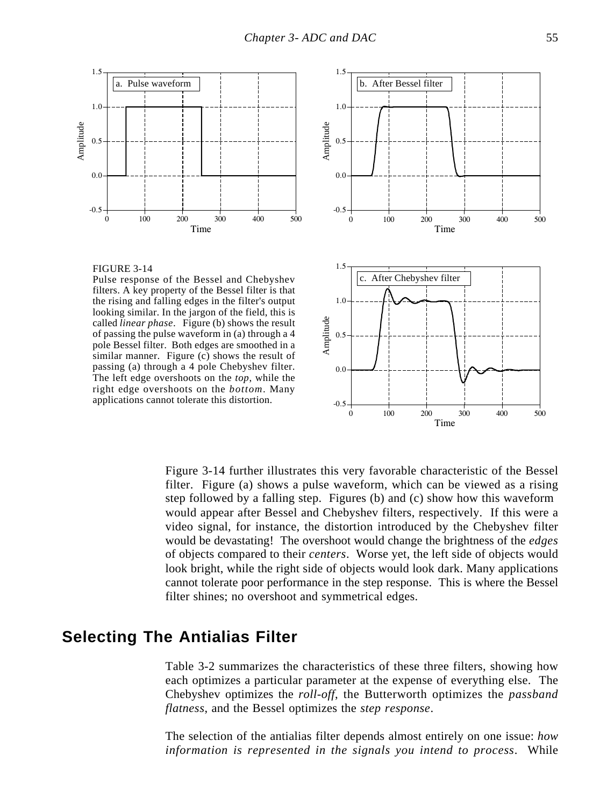

FIGURE 3-14

Pulse response of the Bessel and Chebyshev filters. A key property of the Bessel filter is that the rising and falling edges in the filter's output looking similar. In the jargon of the field, this is called *linear phase*. Figure (b) shows the result of passing the pulse waveform in (a) through a 4 pole Bessel filter. Both edges are smoothed in a similar manner. Figure (c) shows the result of passing (a) through a 4 pole Chebyshev filter. The left edge overshoots on the *top*, while the right edge overshoots on the *bottom*. Many applications cannot tolerate this distortion.



Figure 3-14 further illustrates this very favorable characteristic of the Bessel filter. Figure (a) shows a pulse waveform, which can be viewed as a rising step followed by a falling step. Figures (b) and (c) show how this waveform would appear after Bessel and Chebyshev filters, respectively. If this were a video signal, for instance, the distortion introduced by the Chebyshev filter would be devastating! The overshoot would change the brightness of the *edges* of objects compared to their *centers*. Worse yet, the left side of objects would look bright, while the right side of objects would look dark. Many applications cannot tolerate poor performance in the step response. This is where the Bessel filter shines; no overshoot and symmetrical edges.

### **Selecting The Antialias Filter**

Table 3-2 summarizes the characteristics of these three filters, showing how each optimizes a particular parameter at the expense of everything else. The Chebyshev optimizes the *roll-off*, the Butterworth optimizes the *passband flatness*, and the Bessel optimizes the *step response*.

The selection of the antialias filter depends almost entirely on one issue: *how information is represented in the signals you intend to process*. While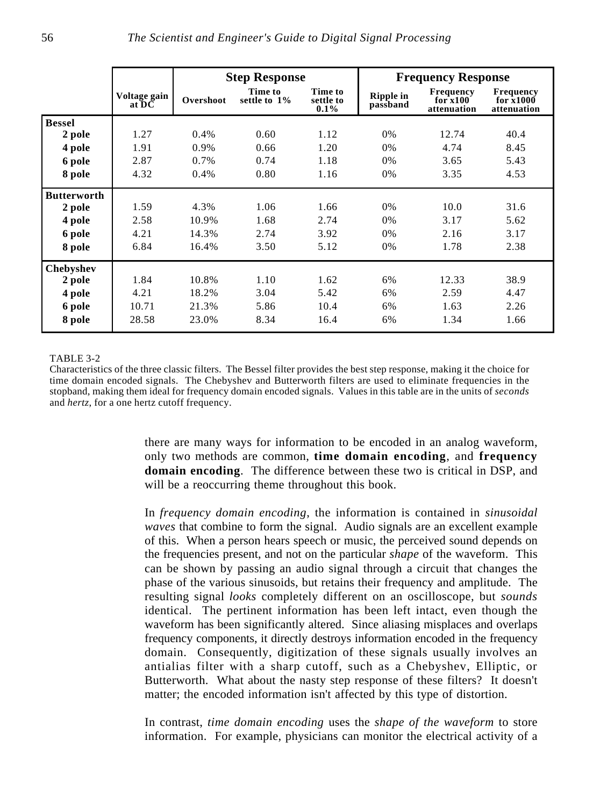|                    |                       | <b>Step Response</b> |                         |                                 | <b>Frequency Response</b>    |                                      |                                              |
|--------------------|-----------------------|----------------------|-------------------------|---------------------------------|------------------------------|--------------------------------------|----------------------------------------------|
|                    | Voltage gain<br>at DC | Overshoot            | Time to<br>settle to 1% | Time to<br>settle to<br>$0.1\%$ | <b>Ripple in</b><br>passband | Frequency<br>for x100<br>attenuation | <b>Frequency</b><br>for x1000<br>attenuation |
| <b>Bessel</b>      |                       |                      |                         |                                 |                              |                                      |                                              |
| 2 pole             | 1.27                  | 0.4%                 | 0.60                    | 1.12                            | 0%                           | 12.74                                | 40.4                                         |
| 4 pole             | 1.91                  | $0.9\%$              | 0.66                    | 1.20                            | 0%                           | 4.74                                 | 8.45                                         |
| 6 pole             | 2.87                  | $0.7\%$              | 0.74                    | 1.18                            | 0%                           | 3.65                                 | 5.43                                         |
| 8 pole             | 4.32                  | 0.4%                 | 0.80                    | 1.16                            | 0%                           | 3.35                                 | 4.53                                         |
| <b>Butterworth</b> |                       |                      |                         |                                 |                              |                                      |                                              |
| 2 pole             | 1.59                  | 4.3%                 | 1.06                    | 1.66                            | 0%                           | 10.0                                 | 31.6                                         |
| 4 pole             | 2.58                  | 10.9%                | 1.68                    | 2.74                            | 0%                           | 3.17                                 | 5.62                                         |
| 6 pole             | 4.21                  | 14.3%                | 2.74                    | 3.92                            | 0%                           | 2.16                                 | 3.17                                         |
| 8 pole             | 6.84                  | 16.4%                | 3.50                    | 5.12                            | 0%                           | 1.78                                 | 2.38                                         |
| Chebyshev          |                       |                      |                         |                                 |                              |                                      |                                              |
| 2 pole             | 1.84                  | 10.8%                | 1.10                    | 1.62                            | 6%                           | 12.33                                | 38.9                                         |
| 4 pole             | 4.21                  | 18.2%                | 3.04                    | 5.42                            | 6%                           | 2.59                                 | 4.47                                         |
| 6 pole             | 10.71                 | 21.3%                | 5.86                    | 10.4                            | 6%                           | 1.63                                 | 2.26                                         |
| 8 pole             | 28.58                 | 23.0%                | 8.34                    | 16.4                            | 6%                           | 1.34                                 | 1.66                                         |

#### TABLE 3-2

Characteristics of the three classic filters. The Bessel filter provides the best step response, making it the choice for time domain encoded signals. The Chebyshev and Butterworth filters are used to eliminate frequencies in the stopband, making them ideal for frequency domain encoded signals. Values in this table are in the units of *seconds* and *hertz*, for a one hertz cutoff frequency.

> there are many ways for information to be encoded in an analog waveform, only two methods are common, **time domain encoding**, and **frequency domain encoding**. The difference between these two is critical in DSP, and will be a reoccurring theme throughout this book.

> In *frequency domain encoding*, the information is contained in *sinusoidal waves* that combine to form the signal. Audio signals are an excellent example of this. When a person hears speech or music, the perceived sound depends on the frequencies present, and not on the particular *shape* of the waveform. This can be shown by passing an audio signal through a circuit that changes the phase of the various sinusoids, but retains their frequency and amplitude. The resulting signal *looks* completely different on an oscilloscope, but *sounds* identical. The pertinent information has been left intact, even though the waveform has been significantly altered. Since aliasing misplaces and overlaps frequency components, it directly destroys information encoded in the frequency domain. Consequently, digitization of these signals usually involves an antialias filter with a sharp cutoff, such as a Chebyshev, Elliptic, or Butterworth. What about the nasty step response of these filters? It doesn't matter; the encoded information isn't affected by this type of distortion.

> In contrast, *time domain encoding* uses the *shape of the waveform* to store information. For example, physicians can monitor the electrical activity of a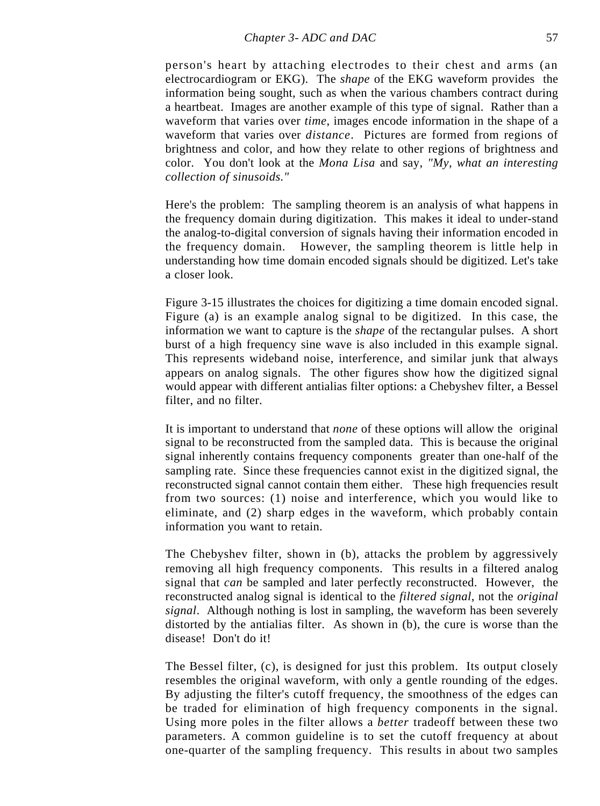#### *Chapter 3-ADC and DAC* 57

person's heart by attaching electrodes to their chest and arms (an electrocardiogram or EKG). The *shape* of the EKG waveform provides the information being sought, such as when the various chambers contract during a heartbeat. Images are another example of this type of signal. Rather than a waveform that varies over *time*, images encode information in the shape of a waveform that varies over *distance*. Pictures are formed from regions of brightness and color, and how they relate to other regions of brightness and color. You don't look at the *Mona Lisa* and say, *"My, what an interesting collection of sinusoids."* 

Here's the problem: The sampling theorem is an analysis of what happens in the frequency domain during digitization. This makes it ideal to under-stand the analog-to-digital conversion of signals having their information encoded in the frequency domain. However, the sampling theorem is little help in understanding how time domain encoded signals should be digitized. Let's take a closer look.

Figure 3-15 illustrates the choices for digitizing a time domain encoded signal. Figure (a) is an example analog signal to be digitized. In this case, the information we want to capture is the *shape* of the rectangular pulses. A short burst of a high frequency sine wave is also included in this example signal. This represents wideband noise, interference, and similar junk that always appears on analog signals. The other figures show how the digitized signal would appear with different antialias filter options: a Chebyshev filter, a Bessel filter, and no filter.

It is important to understand that *none* of these options will allow the original signal to be reconstructed from the sampled data. This is because the original signal inherently contains frequency components greater than one-half of the sampling rate. Since these frequencies cannot exist in the digitized signal, the reconstructed signal cannot contain them either. These high frequencies result from two sources: (1) noise and interference, which you would like to eliminate, and (2) sharp edges in the waveform, which probably contain information you want to retain.

The Chebyshev filter, shown in (b), attacks the problem by aggressively removing all high frequency components. This results in a filtered analog signal that *can* be sampled and later perfectly reconstructed. However, the reconstructed analog signal is identical to the *filtered signal*, not the *original signal*. Although nothing is lost in sampling, the waveform has been severely distorted by the antialias filter. As shown in (b), the cure is worse than the disease! Don't do it!

The Bessel filter, (c), is designed for just this problem. Its output closely resembles the original waveform, with only a gentle rounding of the edges. By adjusting the filter's cutoff frequency, the smoothness of the edges can be traded for elimination of high frequency components in the signal. Using more poles in the filter allows a *better* tradeoff between these two parameters. A common guideline is to set the cutoff frequency at about one-quarter of the sampling frequency. This results in about two samples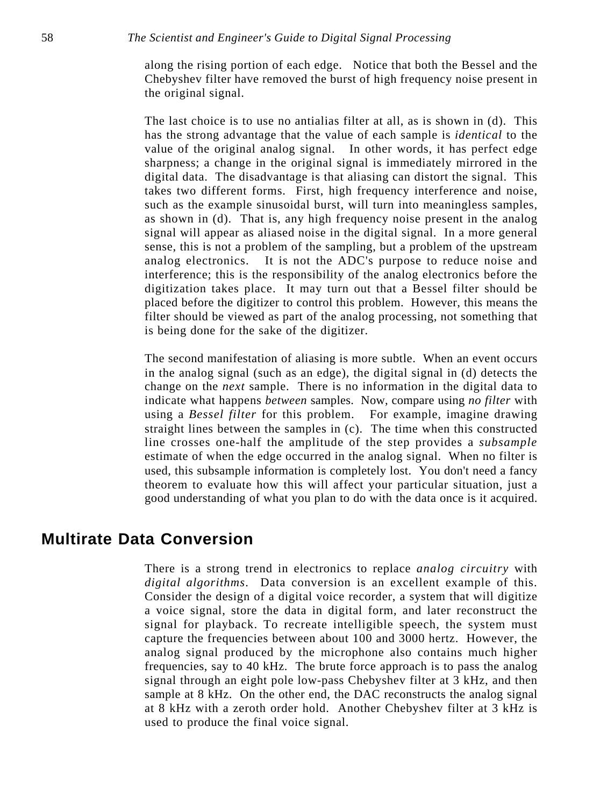along the rising portion of each edge. Notice that both the Bessel and the Chebyshev filter have removed the burst of high frequency noise present in the original signal.

The last choice is to use no antialias filter at all, as is shown in (d). This has the strong advantage that the value of each sample is *identical* to the value of the original analog signal. In other words, it has perfect edge sharpness; a change in the original signal is immediately mirrored in the digital data. The disadvantage is that aliasing can distort the signal. This takes two different forms. First, high frequency interference and noise, such as the example sinusoidal burst, will turn into meaningless samples, as shown in (d). That is, any high frequency noise present in the analog signal will appear as aliased noise in the digital signal. In a more general sense, this is not a problem of the sampling, but a problem of the upstream analog electronics. It is not the ADC's purpose to reduce noise and interference; this is the responsibility of the analog electronics before the digitization takes place. It may turn out that a Bessel filter should be placed before the digitizer to control this problem. However, this means the filter should be viewed as part of the analog processing, not something that is being done for the sake of the digitizer.

The second manifestation of aliasing is more subtle. When an event occurs in the analog signal (such as an edge), the digital signal in (d) detects the change on the *next* sample. There is no information in the digital data to indicate what happens *between* samples. Now, compare using *no filter* with using a *Bessel filter* for this problem. For example, imagine drawing straight lines between the samples in (c). The time when this constructed line crosses one-half the amplitude of the step provides a *subsample* estimate of when the edge occurred in the analog signal. When no filter is used, this subsample information is completely lost. You don't need a fancy theorem to evaluate how this will affect your particular situation, just a good understanding of what you plan to do with the data once is it acquired.

# **Multirate Data Conversion**

There is a strong trend in electronics to replace *analog circuitry* with *digital algorithms*. Data conversion is an excellent example of this. Consider the design of a digital voice recorder, a system that will digitize a voice signal, store the data in digital form, and later reconstruct the signal for playback. To recreate intelligible speech, the system must capture the frequencies between about 100 and 3000 hertz. However, the analog signal produced by the microphone also contains much higher frequencies, say to 40 kHz. The brute force approach is to pass the analog signal through an eight pole low-pass Chebyshev filter at 3 kHz, and then sample at 8 kHz. On the other end, the DAC reconstructs the analog signal at 8 kHz with a zeroth order hold. Another Chebyshev filter at 3 kHz is used to produce the final voice signal.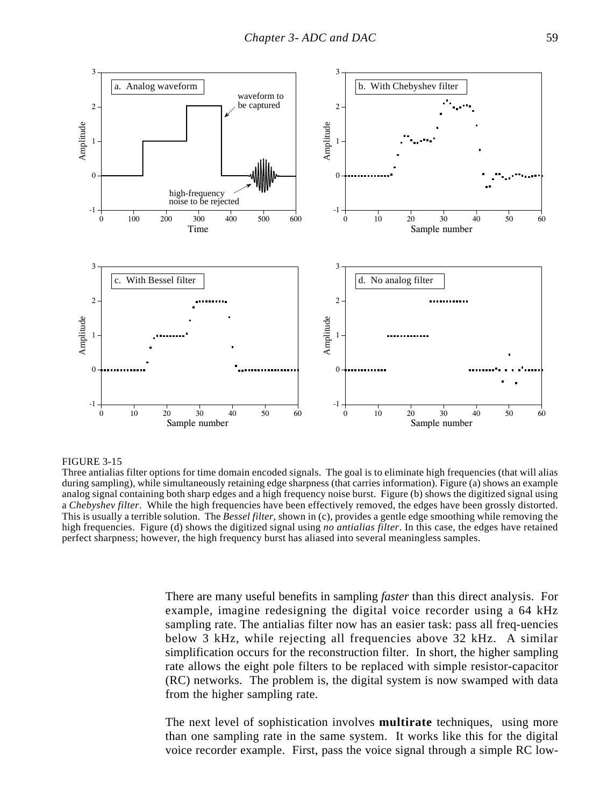

Three antialias filter options for time domain encoded signals. The goal is to eliminate high frequencies (that will alias during sampling), while simultaneously retaining edge sharpness (that carries information). Figure (a) shows an example analog signal containing both sharp edges and a high frequency noise burst. Figure (b) shows the digitized signal using a *Chebyshev filter*. While the high frequencies have been effectively removed, the edges have been grossly distorted. This is usually a terrible solution. The *Bessel filter*, shown in (c), provides a gentle edge smoothing while removing the high frequencies. Figure (d) shows the digitized signal using *no antialias filter*. In this case, the edges have retained perfect sharpness; however, the high frequency burst has aliased into several meaningless samples.

There are many useful benefits in sampling *faster* than this direct analysis. For example, imagine redesigning the digital voice recorder using a 64 kHz sampling rate. The antialias filter now has an easier task: pass all freq-uencies below 3 kHz, while rejecting all frequencies above 32 kHz. A similar simplification occurs for the reconstruction filter. In short, the higher sampling rate allows the eight pole filters to be replaced with simple resistor-capacitor (RC) networks. The problem is, the digital system is now swamped with data from the higher sampling rate.

The next level of sophistication involves **multirate** techniques, using more than one sampling rate in the same system. It works like this for the digital voice recorder example. First, pass the voice signal through a simple RC low-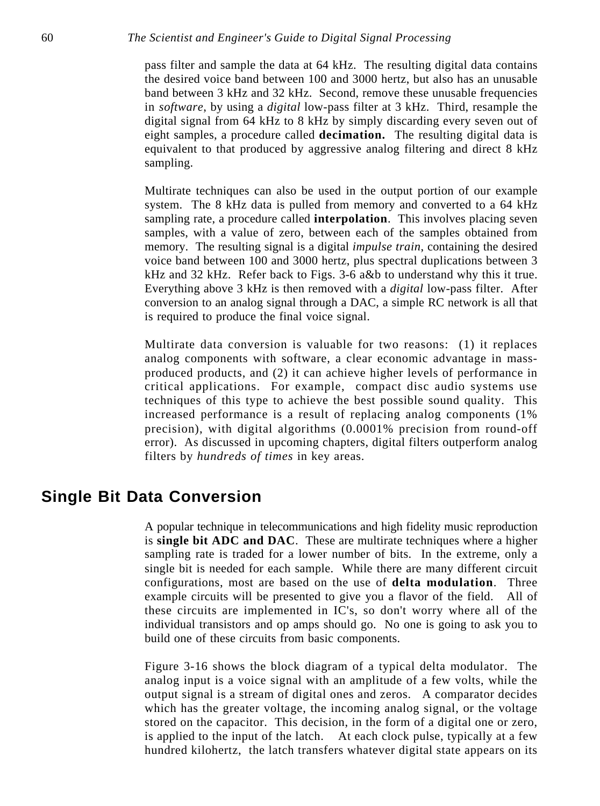pass filter and sample the data at 64 kHz. The resulting digital data contains the desired voice band between 100 and 3000 hertz, but also has an unusable band between 3 kHz and 32 kHz. Second, remove these unusable frequencies in *software*, by using a *digital* low-pass filter at 3 kHz. Third, resample the digital signal from 64 kHz to 8 kHz by simply discarding every seven out of eight samples, a procedure called **decimation.** The resulting digital data is equivalent to that produced by aggressive analog filtering and direct 8 kHz sampling.

Multirate techniques can also be used in the output portion of our example system. The 8 kHz data is pulled from memory and converted to a 64 kHz sampling rate, a procedure called **interpolation**. This involves placing seven samples, with a value of zero, between each of the samples obtained from memory. The resulting signal is a digital *impulse train*, containing the desired voice band between 100 and 3000 hertz, plus spectral duplications between 3 kHz and 32 kHz. Refer back to Figs. 3-6 a&b to understand why this it true. Everything above 3 kHz is then removed with a *digital* low-pass filter. After conversion to an analog signal through a DAC, a simple RC network is all that is required to produce the final voice signal.

Multirate data conversion is valuable for two reasons: (1) it replaces analog components with software, a clear economic advantage in massproduced products, and (2) it can achieve higher levels of performance in critical applications. For example, compact disc audio systems use techniques of this type to achieve the best possible sound quality. This increased performance is a result of replacing analog components (1% precision), with digital algorithms (0.0001% precision from round-off error). As discussed in upcoming chapters, digital filters outperform analog filters by *hundreds of times* in key areas.

# **Single Bit Data Conversion**

A popular technique in telecommunications and high fidelity music reproduction is **single bit ADC and DAC**. These are multirate techniques where a higher sampling rate is traded for a lower number of bits. In the extreme, only a single bit is needed for each sample. While there are many different circuit configurations, most are based on the use of **delta modulation**. Three example circuits will be presented to give you a flavor of the field. All of these circuits are implemented in IC's, so don't worry where all of the individual transistors and op amps should go. No one is going to ask you to build one of these circuits from basic components.

Figure 3-16 shows the block diagram of a typical delta modulator. The analog input is a voice signal with an amplitude of a few volts, while the output signal is a stream of digital ones and zeros. A comparator decides which has the greater voltage, the incoming analog signal, or the voltage stored on the capacitor. This decision, in the form of a digital one or zero, is applied to the input of the latch. At each clock pulse, typically at a few hundred kilohertz, the latch transfers whatever digital state appears on its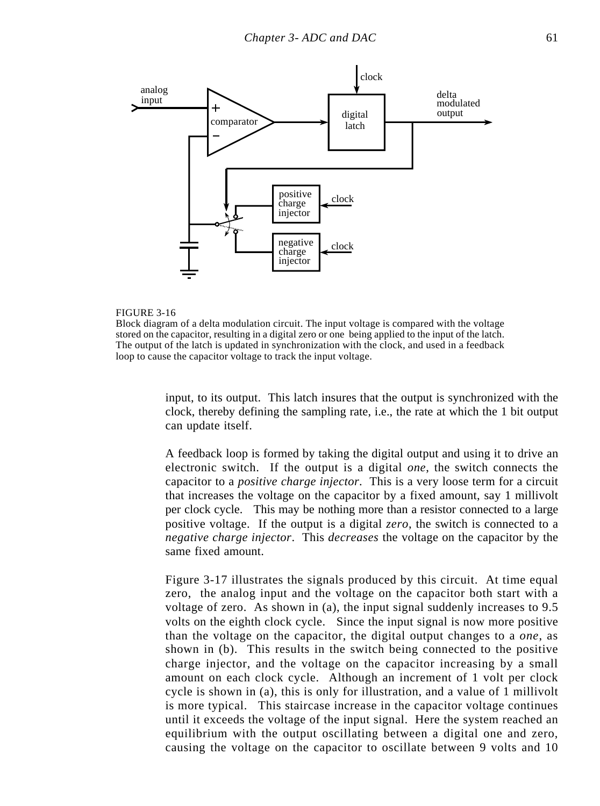

Block diagram of a delta modulation circuit. The input voltage is compared with the voltage stored on the capacitor, resulting in a digital zero or one being applied to the input of the latch. The output of the latch is updated in synchronization with the clock, and used in a feedback loop to cause the capacitor voltage to track the input voltage.

input, to its output. This latch insures that the output is synchronized with the clock, thereby defining the sampling rate, i.e., the rate at which the 1 bit output can update itself.

A feedback loop is formed by taking the digital output and using it to drive an electronic switch. If the output is a digital *one*, the switch connects the capacitor to a *positive charge injector*. This is a very loose term for a circuit that increases the voltage on the capacitor by a fixed amount, say 1 millivolt per clock cycle. This may be nothing more than a resistor connected to a large positive voltage. If the output is a digital *zero*, the switch is connected to a *negative charge injector*. This *decreases* the voltage on the capacitor by the same fixed amount.

Figure 3-17 illustrates the signals produced by this circuit. At time equal zero, the analog input and the voltage on the capacitor both start with a voltage of zero. As shown in (a), the input signal suddenly increases to 9.5 volts on the eighth clock cycle. Since the input signal is now more positive than the voltage on the capacitor, the digital output changes to a *one*, as shown in (b). This results in the switch being connected to the positive charge injector, and the voltage on the capacitor increasing by a small amount on each clock cycle. Although an increment of 1 volt per clock cycle is shown in (a), this is only for illustration, and a value of 1 millivolt is more typical. This staircase increase in the capacitor voltage continues until it exceeds the voltage of the input signal. Here the system reached an equilibrium with the output oscillating between a digital one and zero, causing the voltage on the capacitor to oscillate between 9 volts and 10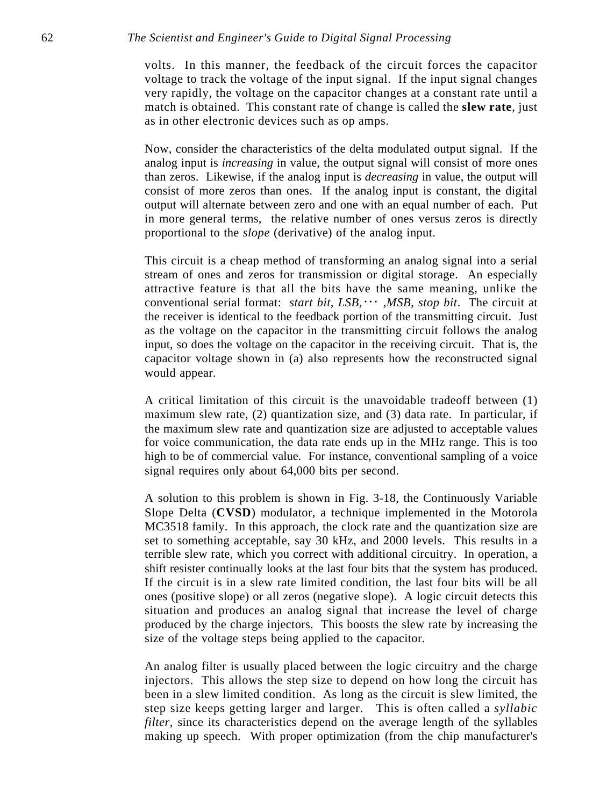volts. In this manner, the feedback of the circuit forces the capacitor voltage to track the voltage of the input signal. If the input signal changes very rapidly, the voltage on the capacitor changes at a constant rate until a match is obtained. This constant rate of change is called the **slew rate**, just as in other electronic devices such as op amps.

Now, consider the characteristics of the delta modulated output signal. If the analog input is *increasing* in value, the output signal will consist of more ones than zeros. Likewise, if the analog input is *decreasing* in value, the output will consist of more zeros than ones. If the analog input is constant, the digital output will alternate between zero and one with an equal number of each. Put in more general terms, the relative number of ones versus zeros is directly proportional to the *slope* (derivative) of the analog input.

This circuit is a cheap method of transforming an analog signal into a serial stream of ones and zeros for transmission or digital storage. An especially attractive feature is that all the bits have the same meaning, unlike the conventional serial format: *start bit, LSB,*  $\cdots$  *,MSB, stop bit*. The circuit at the receiver is identical to the feedback portion of the transmitting circuit. Just as the voltage on the capacitor in the transmitting circuit follows the analog input, so does the voltage on the capacitor in the receiving circuit. That is, the capacitor voltage shown in (a) also represents how the reconstructed signal would appear.

A critical limitation of this circuit is the unavoidable tradeoff between (1) maximum slew rate, (2) quantization size, and (3) data rate. In particular, if the maximum slew rate and quantization size are adjusted to acceptable values for voice communication, the data rate ends up in the MHz range. This is too high to be of commercial value. For instance, conventional sampling of a voice signal requires only about 64,000 bits per second.

A solution to this problem is shown in Fig. 3-18, the Continuously Variable Slope Delta (**CVSD**) modulator, a technique implemented in the Motorola MC3518 family. In this approach, the clock rate and the quantization size are set to something acceptable, say 30 kHz, and 2000 levels. This results in a terrible slew rate, which you correct with additional circuitry. In operation, a shift resister continually looks at the last four bits that the system has produced. If the circuit is in a slew rate limited condition, the last four bits will be all ones (positive slope) or all zeros (negative slope). A logic circuit detects this situation and produces an analog signal that increase the level of charge produced by the charge injectors. This boosts the slew rate by increasing the size of the voltage steps being applied to the capacitor.

An analog filter is usually placed between the logic circuitry and the charge injectors. This allows the step size to depend on how long the circuit has been in a slew limited condition. As long as the circuit is slew limited, the step size keeps getting larger and larger. This is often called a *syllabic filter*, since its characteristics depend on the average length of the syllables making up speech. With proper optimization (from the chip manufacturer's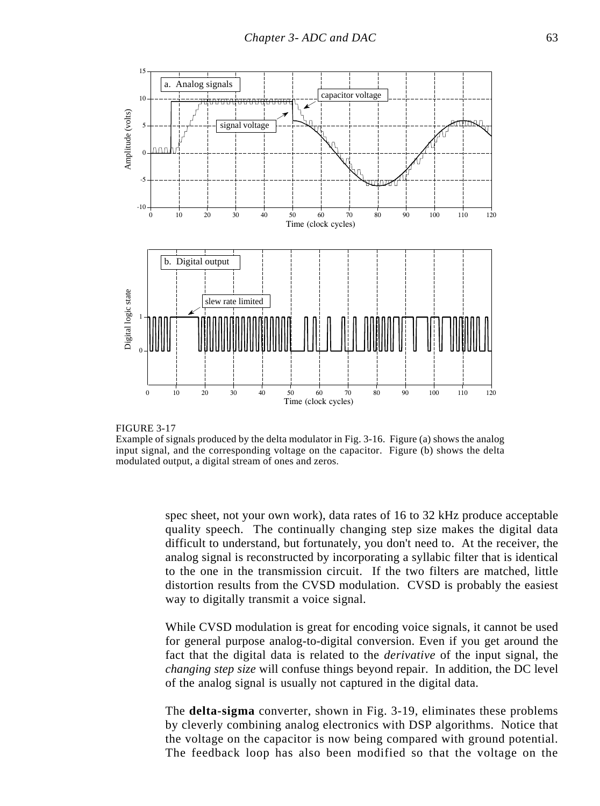



Example of signals produced by the delta modulator in Fig. 3-16. Figure (a) shows the analog input signal, and the corresponding voltage on the capacitor. Figure (b) shows the delta

> spec sheet, not your own work), data rates of 16 to 32 kHz produce acceptable quality speech. The continually changing step size makes the digital data difficult to understand, but fortunately, you don't need to. At the receiver, the analog signal is reconstructed by incorporating a syllabic filter that is identical to the one in the transmission circuit. If the two filters are matched, little distortion results from the CVSD modulation. CVSD is probably the easiest way to digitally transmit a voice signal.

> While CVSD modulation is great for encoding voice signals, it cannot be used for general purpose analog-to-digital conversion. Even if you get around the fact that the digital data is related to the *derivative* of the input signal, the *changing step size* will confuse things beyond repair. In addition, the DC level of the analog signal is usually not captured in the digital data.

> The **delta-sigma** converter, shown in Fig. 3-19, eliminates these problems by cleverly combining analog electronics with DSP algorithms. Notice that the voltage on the capacitor is now being compared with ground potential. The feedback loop has also been modified so that the voltage on the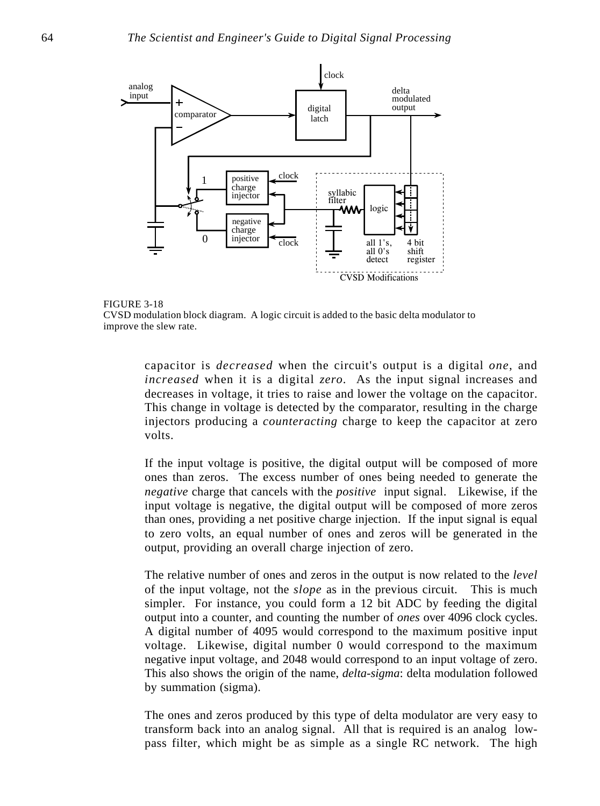



capacitor is *decreased* when the circuit's output is a digital *one*, and *increased* when it is a digital *zero*. As the input signal increases and decreases in voltage, it tries to raise and lower the voltage on the capacitor. This change in voltage is detected by the comparator, resulting in the charge injectors producing a *counteracting* charge to keep the capacitor at zero volts.

If the input voltage is positive, the digital output will be composed of more ones than zeros. The excess number of ones being needed to generate the *negative* charge that cancels with the *positive* input signal. Likewise, if the input voltage is negative, the digital output will be composed of more zeros than ones, providing a net positive charge injection. If the input signal is equal to zero volts, an equal number of ones and zeros will be generated in the output, providing an overall charge injection of zero.

The relative number of ones and zeros in the output is now related to the *level* of the input voltage, not the *slope* as in the previous circuit. This is much simpler. For instance, you could form a 12 bit ADC by feeding the digital output into a counter, and counting the number of *ones* over 4096 clock cycles. A digital number of 4095 would correspond to the maximum positive input voltage. Likewise, digital number 0 would correspond to the maximum negative input voltage, and 2048 would correspond to an input voltage of zero. This also shows the origin of the name, *delta-sigma*: delta modulation followed by summation (sigma).

The ones and zeros produced by this type of delta modulator are very easy to transform back into an analog signal. All that is required is an analog lowpass filter, which might be as simple as a single RC network. The high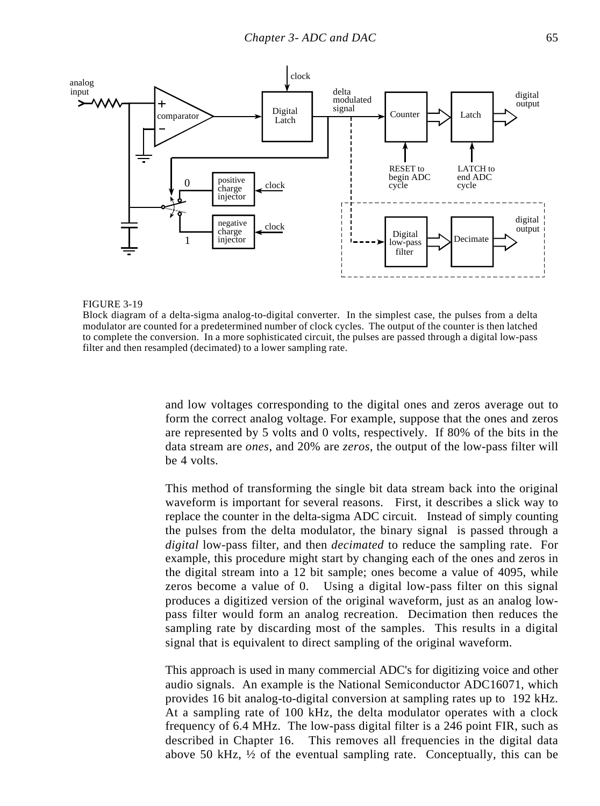

Block diagram of a delta-sigma analog-to-digital converter. In the simplest case, the pulses from a delta modulator are counted for a predetermined number of clock cycles. The output of the counter is then latched to complete the conversion. In a more sophisticated circuit, the pulses are passed through a digital low-pass filter and then resampled (decimated) to a lower sampling rate.

and low voltages corresponding to the digital ones and zeros average out to form the correct analog voltage. For example, suppose that the ones and zeros are represented by 5 volts and 0 volts, respectively. If 80% of the bits in the data stream are *ones*, and 20% are *zeros*, the output of the low-pass filter will be 4 volts.

This method of transforming the single bit data stream back into the original waveform is important for several reasons. First, it describes a slick way to replace the counter in the delta-sigma ADC circuit. Instead of simply counting the pulses from the delta modulator, the binary signal is passed through a *digital* low-pass filter, and then *decimated* to reduce the sampling rate. For example, this procedure might start by changing each of the ones and zeros in the digital stream into a 12 bit sample; ones become a value of 4095, while zeros become a value of 0. Using a digital low-pass filter on this signal produces a digitized version of the original waveform, just as an analog lowpass filter would form an analog recreation. Decimation then reduces the sampling rate by discarding most of the samples. This results in a digital signal that is equivalent to direct sampling of the original waveform.

This approach is used in many commercial ADC's for digitizing voice and other audio signals. An example is the National Semiconductor ADC16071, which provides 16 bit analog-to-digital conversion at sampling rates up to 192 kHz. At a sampling rate of 100 kHz, the delta modulator operates with a clock frequency of 6.4 MHz. The low-pass digital filter is a 246 point FIR, such as described in Chapter 16. This removes all frequencies in the digital data above 50 kHz,  $\frac{1}{2}$  of the eventual sampling rate. Conceptually, this can be